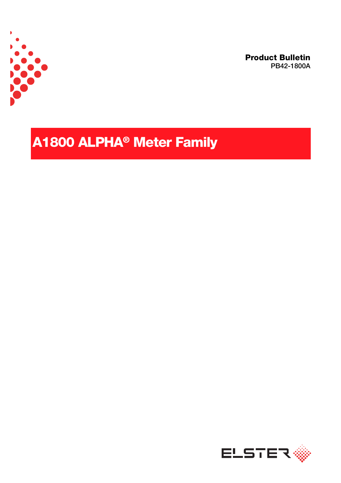

**Product Bulletin PB42-1800A**

# **A1800 ALPHA® Meter Family**

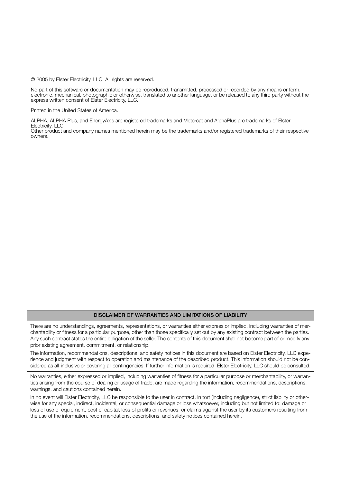© 2005 by Elster Electricity, LLC. All rights are reserved.

No part of this software or documentation may be reproduced, transmitted, processed or recorded by any means or form, electronic, mechanical, photographic or otherwise, translated to another language, or be released to any third party without the express written consent of Elster Electricity, LLC.

Printed in the United States of America.

ALPHA, ALPHA Plus, and EnergyAxis are registered trademarks and Metercat and AlphaPlus are trademarks of Elster Electricity, LLC.

Other product and company names mentioned herein may be the trademarks and/or registered trademarks of their respective owners.

#### **DISCLAIMER OF WARRANTIES AND LIMITATIONS OF LIABILITY**

There are no understandings, agreements, representations, or warranties either express or implied, including warranties of merchantability or fitness for a particular purpose, other than those specifically set out by any existing contract between the parties. Any such contract states the entire obligation of the seller. The contents of this document shall not become part of or modify any prior existing agreement, commitment, or relationship.

The information, recommendations, descriptions, and safety notices in this document are based on Elster Electricity, LLC experience and judgment with respect to operation and maintenance of the described product. This information should not be considered as all-inclusive or covering all contingencies. If further information is required, Elster Electricity, LLC should be consulted.

No warranties, either expressed or implied, including warranties of fitness for a particular purpose or merchantability, or warranties arising from the course of dealing or usage of trade, are made regarding the information, recommendations, descriptions, warnings, and cautions contained herein.

In no event will Elster Electricity, LLC be responsible to the user in contract, in tort (including negligence), strict liability or otherwise for any special, indirect, incidental, or consequential damage or loss whatsoever, including but not limited to: damage or loss of use of equipment, cost of capital, loss of profits or revenues, or claims against the user by its customers resulting from the use of the information, recommendations, descriptions, and safety notices contained herein.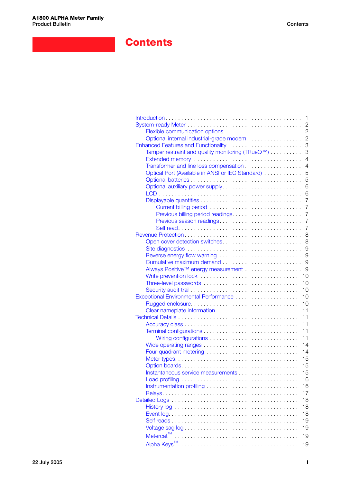## **Contents**

|                                                  | 1              |
|--------------------------------------------------|----------------|
|                                                  | $\overline{c}$ |
| Flexible communication options                   | $\overline{2}$ |
|                                                  |                |
| Optional internal industrial-grade modem         | $\overline{2}$ |
| Enhanced Features and Functionality              | 3              |
| Tamper restraint and quality monitoring (TRueQ™) | 3              |
|                                                  | $\overline{4}$ |
|                                                  |                |
| Transformer and line loss compensation           | $\overline{4}$ |
| Optical Port (Available in ANSI or IEC Standard) | 5              |
|                                                  | 5              |
| Optional auxiliary power supply                  | 6              |
|                                                  |                |
|                                                  | 6              |
|                                                  | $\overline{7}$ |
| Current billing period                           | $\overline{7}$ |
| Previous billing period readings                 | $\overline{7}$ |
| Previous season readings                         | $\overline{7}$ |
|                                                  |                |
|                                                  | $\overline{7}$ |
|                                                  | 8              |
| Open cover detection switches                    | 8              |
|                                                  | 9              |
| Reverse energy flow warning                      | 9              |
|                                                  |                |
|                                                  | 9              |
| Always Positive™ energy measurement              | 9              |
|                                                  | 10             |
| Three-level passwords                            | 10             |
|                                                  | 10             |
|                                                  |                |
|                                                  | 10             |
|                                                  | 10             |
|                                                  | 11             |
|                                                  | 11             |
|                                                  | 11             |
|                                                  |                |
|                                                  | 11             |
| Wiring configurations                            | 11             |
|                                                  | 14             |
| Four-quadrant metering                           | 14             |
|                                                  | 15             |
|                                                  |                |
|                                                  | 15             |
|                                                  | 15             |
|                                                  | 16             |
| Instrumentation profiling                        | 16             |
|                                                  | 17             |
|                                                  | 18             |
|                                                  |                |
|                                                  | 18             |
|                                                  | 18             |
|                                                  | 19             |
|                                                  | 19             |
|                                                  |                |
|                                                  | 19             |
|                                                  | 19             |
|                                                  |                |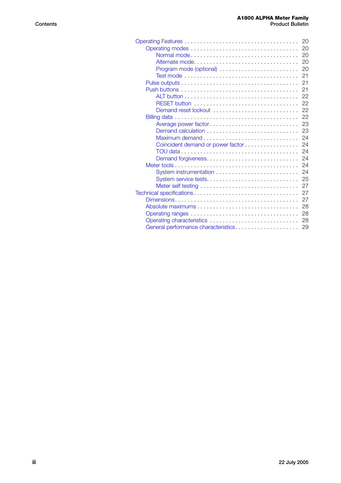|                                     | 20 |
|-------------------------------------|----|
|                                     | 20 |
| Normal mode                         | 20 |
| Alternate mode                      | 20 |
|                                     | 20 |
|                                     | 21 |
|                                     | 21 |
|                                     | 21 |
|                                     | 22 |
|                                     | 22 |
| Demand reset lockout                | 22 |
|                                     | 22 |
| Average power factor                | 23 |
|                                     | 23 |
| Maximum demand                      | 24 |
| Coincident demand or power factor   | 24 |
|                                     | 24 |
| Demand forgiveness                  | 24 |
|                                     | 24 |
|                                     | 24 |
| System service tests                | 25 |
|                                     | 27 |
|                                     | 27 |
|                                     | 27 |
|                                     | 28 |
|                                     | 28 |
|                                     | 28 |
| General performance characteristics | 29 |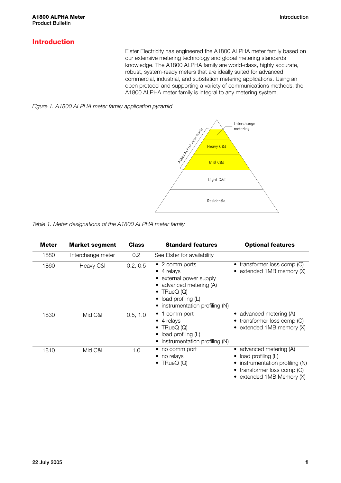### <span id="page-4-0"></span>**Introduction**

Elster Electricity has engineered the A1800 ALPHA meter family based on our extensive metering technology and global metering standards knowledge. The A1800 ALPHA family are world-class, highly accurate, robust, system-ready meters that are ideally suited for advanced commercial, industrial, and substation metering applications. Using an open protocol and supporting a variety of communications methods, the A1800 ALPHA meter family is integral to any metering system.





*Table 1. Meter designations of the A1800 ALPHA meter family*

| <b>Meter</b> | <b>Market segment</b> | <b>Class</b> | <b>Standard features</b>                                                                                                                                           | <b>Optional features</b>                                                                                                               |
|--------------|-----------------------|--------------|--------------------------------------------------------------------------------------------------------------------------------------------------------------------|----------------------------------------------------------------------------------------------------------------------------------------|
| 1880         | Interchange meter     | 0.2          | See Elster for availability                                                                                                                                        |                                                                                                                                        |
| 1860         | Heavy C&I             | 0.2, 0.5     | $\bullet$ 2 comm ports<br>$\bullet$ 4 relays<br>external power supply<br>advanced metering (A)<br>TRueQ (Q)<br>load profiling (L)<br>instrumentation profiling (N) | • transformer loss comp (C)<br>• extended $1MB$ memory $(X)$                                                                           |
| 1830         | Mid C&I               | 0.5, 1.0     | $\bullet$ 1 comm port<br>$\bullet$ 4 relays<br>TRueQ (Q)<br>load profiling (L)<br>instrumentation profiling (N)                                                    | • advanced metering $(A)$<br>transformer loss comp (C)<br>extended 1MB memory (X)                                                      |
| 1810         | Mid C&I               | 1.0          | no comm port<br>no relays<br>TRueQ(Q)                                                                                                                              | advanced metering (A)<br>load profiling $(L)$<br>instrumentation profiling (N)<br>transformer loss comp (C)<br>extended 1MB Memory (X) |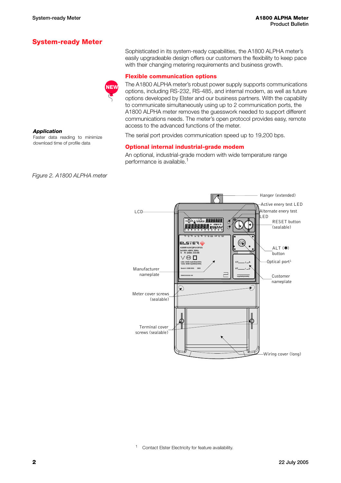*Application*

### <span id="page-5-0"></span>**System-ready Meter**

**NEW**

Sophisticated in its system-ready capabilities, the A1800 ALPHA meter's easily upgradeable design offers our customers the flexibility to keep pace with their changing metering requirements and business growth.

#### <span id="page-5-1"></span>**Flexible communication options**

The A1800 ALPHA meter's robust power supply supports communications options, including RS-232, RS-485, and internal modem, as well as future options developed by Elster and our business partners. With the capability to communicate simultaneously using up to 2 communication ports, the A1800 ALPHA meter removes the guesswork needed to support different communications needs. The meter's open protocol provides easy, remote access to the advanced functions of the meter.

The serial port provides communication speed up to 19,200 bps.

#### <span id="page-5-2"></span>**Optional internal industrial-grade modem**

An optional, industrial-grade modem with wide temperature range performance is available.<sup>1</sup>

*Figure 2. A1800 ALPHA meter*

Faster data reading to minimize download time of profile data

<sup>1</sup> Contact Elster Electricity for feature availability.



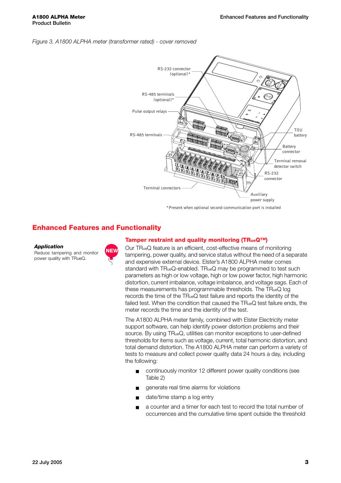#### <span id="page-6-2"></span>*Figure 3. A1800 ALPHA meter (transformer rated) - cover removed*



#### <span id="page-6-0"></span>**Enhanced Features and Functionality**

**Application**<br>Reduce tampering and monitor **NEW** power quality with TRueQ.



#### <span id="page-6-1"></span>**Tamper restraint and quality monitoring (TRueQ™)**

Our TRueQ feature is an efficient, cost-effective means of monitoring tampering, power quality, and service status without the need of a separate and expensive external device. Elster's A1800 ALPHA meter comes standard with TRueQ-enabled. TRueQ may be programmed to test such parameters as high or low voltage, high or low power factor, high harmonic distortion, current imbalance, voltage imbalance, and voltage sags. Each of these measurements has programmable thresholds. The TRueQ log records the time of the TRueQ test failure and reports the identity of the failed test. When the condition that caused the TRueQ test failure ends, the meter records the time and the identity of the test.

The A1800 ALPHA meter family, combined with Elster Electricity meter support software, can help identify power distortion problems and their source. By using TRueQ, utilities can monitor exceptions to user-defined thresholds for items such as voltage, current, total harmonic distortion, and total demand distortion. The A1800 ALPHA meter can perform a variety of tests to measure and collect power quality data 24 hours a day, including the following:

- continuously monitor 12 different power quality conditions (see Table 2)
- generate real time alarms for violations
- date/time stamp a log entry
- a counter and a timer for each test to record the total number of occurrences and the cumulative time spent outside the threshold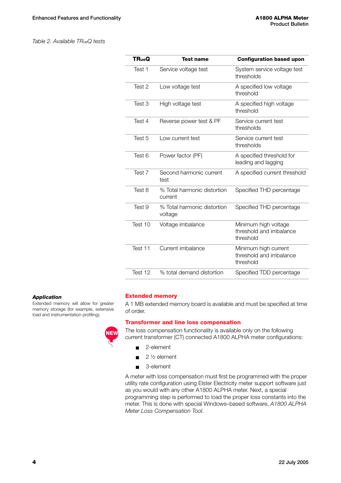#### *Table 2. Available TRueQ tests*

| <b>TRueQ</b> | <b>Test name</b>                       | <b>Configuration based upon</b>                              |
|--------------|----------------------------------------|--------------------------------------------------------------|
| Test 1       | Service voltage test                   | System service voltage test<br>thresholds                    |
| Test 2       | Low voltage test                       | A specified low voltage<br>threshold                         |
| Test 3       | High voltage test                      | A specified high voltage<br>threshold                        |
| Test 4       | Reverse power test & PF                | Service current test<br>thresholds                           |
| Test 5       | Low current test                       | Service current test<br>thresholds                           |
| Test 6       | Power factor (PF)                      | A specified threshold for<br>leading and lagging             |
| Test 7       | Second harmonic current<br>test        | A specified current threshold                                |
| Test 8       | % Total harmonic distortion<br>current | Specified THD percentage                                     |
| Test 9       | % Total harmonic distortion<br>voltage | Specified THD percentage                                     |
| Test 10      | Voltage imbalance                      | Minimum high voltage<br>threshold and imbalance<br>threshold |
| Test 11      | Current imbalance                      | Minimum high current<br>threshold and imbalance<br>threshold |
| Test 12      | % total demand distortion              | Specified TDD percentage                                     |

#### *Application*

Extended memory will allow for greater memory storage (for example, extensive load and instrumentation profiling),



#### <span id="page-7-0"></span>**Extended memory**

A 1 MB extended memory board is available and must be specified at time of order.

#### <span id="page-7-1"></span>**Transformer and line loss compensation**

The loss compensation functionality is available only on the following current transformer (CT) connected A1800 ALPHA meter configurations:

- 2-element
- 2 ½ element
- 3-element

A meter with loss compensation must first be programmed with the proper utility rate configuration using Elster Electricity meter support software just as you would with any other A1800 ALPHA meter. Next, a special programming step is performed to load the proper loss constants into the meter. This is done with special Windows–based software, *A1800 ALPHA Meter Loss Compensation Tool*.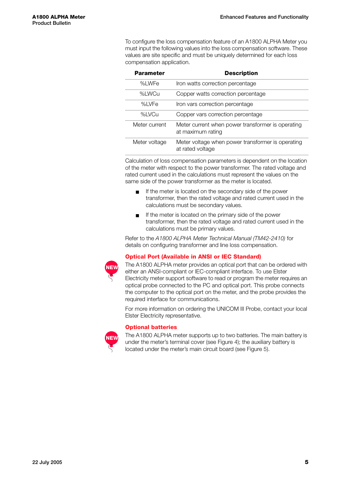To configure the loss compensation feature of an A1800 ALPHA Meter you must input the following values into the loss compensation software. These values are site specific and must be uniquely determined for each loss compensation application.

| <b>Parameter</b> | <b>Description</b>                                                     |
|------------------|------------------------------------------------------------------------|
| %LWFe            | Iron watts correction percentage                                       |
| %LWCu            | Copper watts correction percentage                                     |
| %I VFe           | Iron vars correction percentage                                        |
| %LVCu            | Copper vars correction percentage                                      |
| Meter current    | Meter current when power transformer is operating<br>at maximum rating |
| Meter voltage    | Meter voltage when power transformer is operating<br>at rated voltage  |

Calculation of loss compensation parameters is dependent on the location of the meter with respect to the power transformer. The rated voltage and rated current used in the calculations must represent the values on the same side of the power transformer as the meter is located.

- If the meter is located on the secondary side of the power transformer, then the rated voltage and rated current used in the calculations must be secondary values.
- If the meter is located on the primary side of the power transformer, then the rated voltage and rated current used in the calculations must be primary values.

Refer to the *A1800 ALPHA Meter Technical Manual (TM42-2410)* for details on configuring transformer and line loss compensation.

#### <span id="page-8-0"></span>**Optical Port (Available in ANSI or IEC Standard)**



The A1800 ALPHA meter provides an optical port that can be ordered with either an ANSI-compliant or IEC-compliant interface. To use Elster Electricity meter support software to read or program the meter requires an optical probe connected to the PC and optical port. This probe connects the computer to the optical port on the meter, and the probe provides the required interface for communications.

For more information on ordering the UNICOM III Probe, contact your local Elster Electricity representative.

#### <span id="page-8-1"></span>**Optional batteries**



The A1800 ALPHA meter supports up to two batteries. The main battery is under the meter's terminal cover (see [Figure 4\)](#page-9-2); the auxiliary battery is located under the meter's main circuit board (see [Figure 5](#page-9-3)).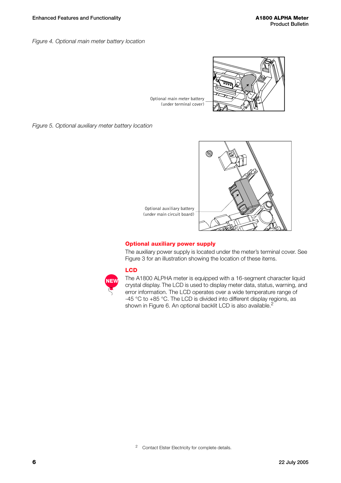<span id="page-9-2"></span>*Figure 4. Optional main meter battery location*



Optional main meter battery (under terminal cover)

<span id="page-9-3"></span>*Figure 5. Optional auxiliary meter battery location*



#### <span id="page-9-0"></span>**Optional auxiliary power supply**

The auxiliary power supply is located under the meter's terminal cover. See [Figure 3](#page-6-2) for an illustration showing the location of these items.

#### <span id="page-9-1"></span>**LCD**

**NEW**

The A1800 ALPHA meter is equipped with a 16-segment character liquid crystal display. The LCD is used to display meter data, status, warning, and error information. The LCD operates over a wide temperature range of -45 °C to +85 °C. The LCD is divided into different display regions, as shown in Figure 6. An optional backlit LCD is also available.<sup>2</sup>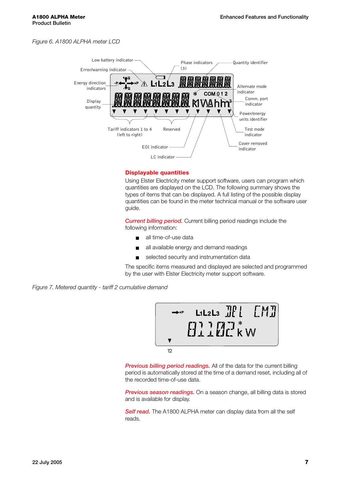*Figure 6. A1800 ALPHA meter LCD*



#### <span id="page-10-0"></span>**Displayable quantities**

Using Elster Electricity meter support software, users can program which quantities are displayed on the LCD. The following summary shows the types of items that can be displayed. A full listing of the possible display quantities can be found in the meter technical manual or the software user guide.

<span id="page-10-1"></span>*Current billing period.* Current billing period readings include the following information:

- all time-of-use data
- all available energy and demand readings
- selected security and instrumentation data

The specific items measured and displayed are selected and programmed by the user with Elster Electricity meter support software.

*Figure 7. Metered quantity - tariff 2 cumulative demand*



<span id="page-10-2"></span>**Previous billing period readings.** All of the data for the current billing period is automatically stored at the time of a demand reset, including all of the recorded time-of-use data.

<span id="page-10-3"></span>**Previous season readings.** On a season change, all billing data is stored and is available for display.

<span id="page-10-4"></span>**Self read.** The A1800 ALPHA meter can display data from all the self reads.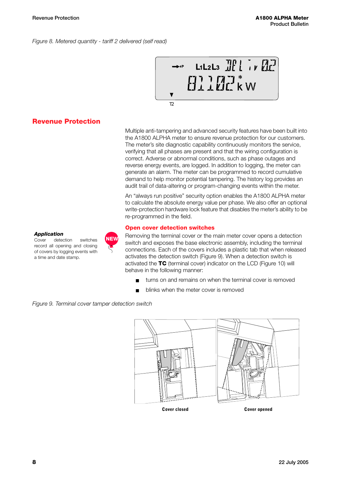*Figure 8. Metered quantity - tariff 2 delivered (self read)*



#### <span id="page-11-0"></span>**Revenue Protection**

*Application*

Cover detection switches record all opening and closing of covers by logging events with a time and date stamp.

Multiple anti-tampering and advanced security features have been built into the A1800 ALPHA meter to ensure revenue protection for our customers. The meter's site diagnostic capability continuously monitors the service, verifying that all phases are present and that the wiring configuration is correct. Adverse or abnormal conditions, such as phase outages and reverse energy events, are logged. In addition to logging, the meter can generate an alarm. The meter can be programmed to record cumulative demand to help monitor potential tampering. The history log provides an audit trail of data-altering or program-changing events within the meter.

An "always run positive" security option enables the A1800 ALPHA meter to calculate the absolute energy value per phase. We also offer an optional write-protection hardware lock feature that disables the meter's ability to be re-programmed in the field.

#### <span id="page-11-1"></span>**Open cover detection switches**

Removing the terminal cover or the main meter cover opens a detection switch and exposes the base electronic assembly, including the terminal connections. Each of the covers includes a plastic tab that when released activates the detection switch [\(Figure 9\)](#page-11-2). When a detection switch is activated the **TC** (terminal cover) indicator on the LCD [\(Figure 10](#page-12-4)) will behave in the following manner:

- turns on and remains on when the terminal cover is removed
- blinks when the meter cover is removed

<span id="page-11-2"></span>*Figure 9. Terminal cover tamper detection switch*

**NEW**



**Cover closed Cover opened**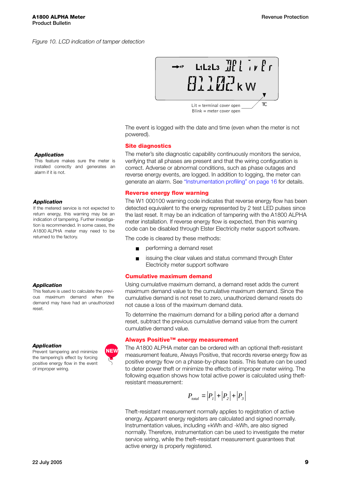

The event is logged with the date and time (even when the meter is not powered).

#### <span id="page-12-0"></span>**Site diagnostics**

The meter's site diagnostic capability continuously monitors the service, verifying that all phases are present and that the wiring configuration is correct. Adverse or abnormal conditions, such as phase outages and reverse energy events, are logged. In addition to logging, the meter can generate an alarm. See ["Instrumentation profiling" on page 16](#page-19-1) for details.

#### <span id="page-12-1"></span>**Reverse energy flow warning**

The W1 000100 warning code indicates that reverse energy flow has been detected equivalent to the energy represented by 2 test LED pulses since the last reset. It may be an indication of tampering with the A1800 ALPHA meter installation. If reverse energy flow is expected, then this warning code can be disabled through Elster Electricity meter support software.

The code is cleared by these methods:

- performing a demand reset
- issuing the clear values and status command through Elster Electricity meter support software

#### <span id="page-12-2"></span>**Cumulative maximum demand**

Using cumulative maximum demand, a demand reset adds the current maximum demand value to the cumulative maximum demand. Since the cumulative demand is not reset to zero, unauthorized demand resets do not cause a loss of the maximum demand data.

To determine the maximum demand for a billing period after a demand reset, subtract the previous cumulative demand value from the current cumulative demand value.

#### <span id="page-12-3"></span>**Always Positive™ energy measurement**

The A1800 ALPHA meter can be ordered with an optional theft-resistant measurement feature, Always Positive, that records reverse energy flow as positive energy flow on a phase-by-phase basis. This feature can be used to deter power theft or minimize the effects of improper meter wiring. The following equation shows how total active power is calculated using theftresistant measurement:

$$
P_{total} = |P_1| + |P_2| + |P_3|
$$

Theft-resistant measurement normally applies to registration of active energy. Apparent energy registers are calculated and signed normally. Instrumentation values, including +kWh and -kWh, are also signed normally. Therefore, instrumentation can be used to investigate the meter service wiring, while the theft–resistant measurement guarantees that active energy is properly registered.

#### <span id="page-12-4"></span>*Application*

This feature makes sure the meter is installed correctly and generates an alarm if it is not.

#### *Application*

If the metered service is not expected to return energy, this warning may be an indication of tampering. Further investigation is recommended. In some cases, the A1800 ALPHA meter may need to be returned to the factory.

#### *Application*

This feature is used to calculate the previous maximum demand when the demand may have had an unauthorized reset.

#### *Application*

Prevent tampering and minimize the tampering's effect by forcing positive energy flow in the event of improper wiring.

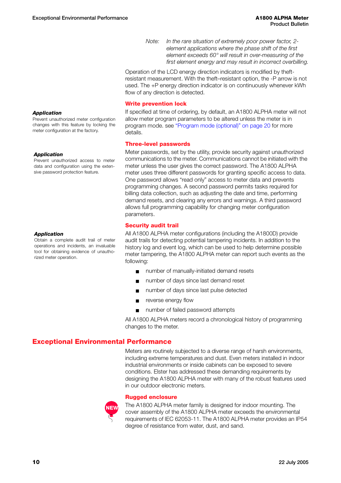*Note: In the rare situation of extremely poor power factor, 2 element applications where the phase shift of the first element exceeds 60° will result in over-measuring of the first element energy and may result in incorrect overbilling.*

Operation of the LCD energy direction indicators is modified by theftresistant measurement. With the theft–resistant option, the -P arrow is not used. The +P energy direction indicator is on continuously whenever kWh flow of any direction is detected.

#### <span id="page-13-0"></span>**Write prevention lock**

If specified at time of ordering, by default, an A1800 ALPHA meter will not allow meter program parameters to be altered unless the meter is in program mode. see ["Program mode \(optional\)" on page 20](#page-23-4) for more details.

#### <span id="page-13-1"></span>**Three-level passwords**

Meter passwords, set by the utility, provide security against unauthorized communications to the meter. Communications cannot be initiated with the meter unless the user gives the correct password. The A1800 ALPHA meter uses three different passwords for granting specific access to data. One password allows "read only" access to meter data and prevents programming changes. A second password permits tasks required for billing data collection, such as adjusting the date and time, performing demand resets, and clearing any errors and warnings. A third password allows full programming capability for changing meter configuration parameters.

#### <span id="page-13-2"></span>**Security audit trail**

All A1800 ALPHA meter configurations (including the A1800D) provide audit trails for detecting potential tampering incidents. In addition to the history log and event log, which can be used to help determine possible meter tampering, the A1800 ALPHA meter can report such events as the following:

- number of manually-initiated demand resets
- number of days since last demand reset
- number of days since last pulse detected
- reverse energy flow
- number of failed password attempts

All A1800 ALPHA meters record a chronological history of programming changes to the meter.

#### <span id="page-13-3"></span>**Exceptional Environmental Performance**

Meters are routinely subjected to a diverse range of harsh environments, including extreme temperatures and dust. Even meters installed in indoor industrial environments or inside cabinets can be exposed to severe conditions. Elster has addressed these demanding requirements by designing the A1800 ALPHA meter with many of the robust features used in our outdoor electronic meters.

#### <span id="page-13-4"></span>**Rugged enclosure**



The A1800 ALPHA meter family is designed for indoor mounting. The cover assembly of the A1800 ALPHA meter exceeds the environmental requirements of IEC 62053-11. The A1800 ALPHA meter provides an IP54 degree of resistance from water, dust, and sand.

#### *Application*

Prevent unauthorized meter configuration changes with this feature by locking the meter configuration at the factory.

#### *Application*

Prevent unauthorized access to meter data and configuration using the extensive password protection feature.

#### *Application*

Obtain a complete audit trail of meter operations and incidents, an invaluable tool for obtaining evidence of unauthorized meter operation.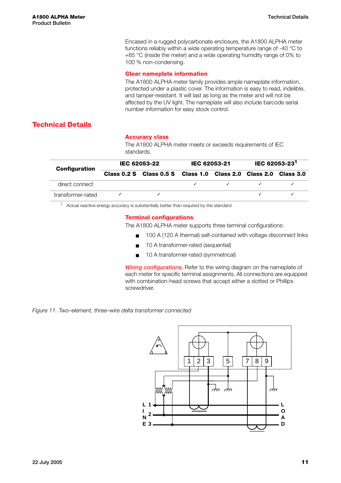Encased in a rugged polycarbonate enclosure, the A1800 ALPHA meter functions reliably within a wide operating temperature range of -40 °C to +85 °C (inside the meter) and a wide operating humidity range of 0% to 100 % non-condensing.

#### <span id="page-14-0"></span>**Clear nameplate information**

The A1800 ALPHA meter family provides ample nameplate information, protected under a plastic cover. The information is easy to read, indelible, and tamper-resistant. It will last as long as the meter and will not be affected by the UV light. The nameplate will also include barcode serial number information for easy stock control.

#### <span id="page-14-1"></span>**Technical Details**

#### <span id="page-14-2"></span>**Accuracy class**

The A1800 ALPHA meter meets or exceeds requirements of IEC standards.

| <b>Configuration</b> | IEC 62053-22 |                                                                 | IEC 62053-21 |  | <b>IEC 62053-23<sup>1</sup></b> |  |
|----------------------|--------------|-----------------------------------------------------------------|--------------|--|---------------------------------|--|
|                      |              | Class 0.2 S Class 0.5 S Class 1.0 Class 2.0 Class 2.0 Class 3.0 |              |  |                                 |  |
| direct connect       |              |                                                                 |              |  |                                 |  |
| transformer-rated    |              |                                                                 |              |  |                                 |  |

<sup>1</sup> Actual reactive energy accuracy is substantially better than required by the standard.

#### <span id="page-14-3"></span>**Terminal configurations**

The A1800 ALPHA meter supports three terminal configurations:

- 100 A (120 A thermal) self-contained with voltage disconnect links
- 10 A transformer-rated (sequential)
- 10 A transformer-rated (symmetrical)

<span id="page-14-4"></span>**Wiring configurations.** Refer to the wiring diagram on the nameplate of each meter for specific terminal assignments. All connections are equipped with combination-head screws that accept either a slotted or Phillips screwdriver.

*Figure 11. Two–element, three–wire delta transformer connected*

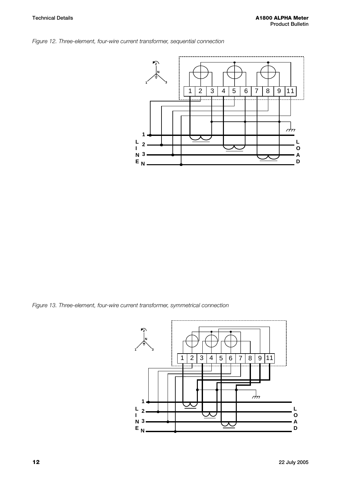



*Figure 13. Three-element, four-wire current transformer, symmetrical connection*

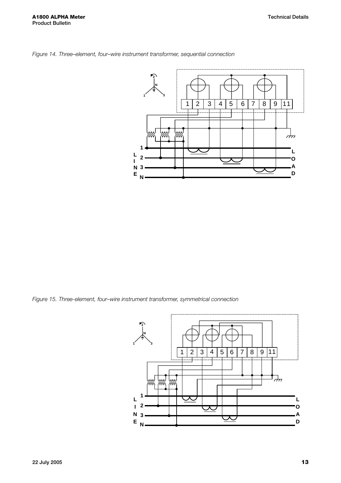

*Figure 14. Three–element, four–wire instrument transformer, sequential connection*

*Figure 15. Three-element, four–wire instrument transformer, symmetrical connection*

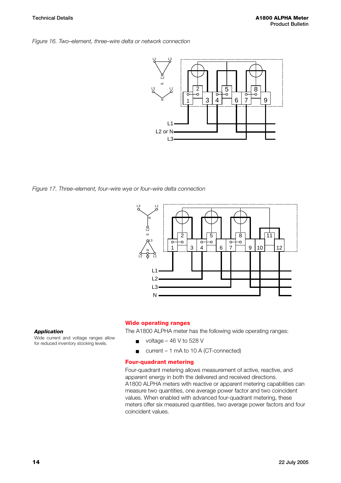#### *Figure 16. Two–element, three–wire delta or network connection*



*Figure 17. Three–element, four–wire wye or four–wire delta connection*



#### *Application*

Wide current and voltage ranges allow for reduced inventory stocking levels.

#### <span id="page-17-0"></span>**Wide operating ranges**

The A1800 ALPHA meter has the following wide operating ranges:

- $\blacksquare$  voltage 46 V to 528 V
- current 1 mA to 10 A (CT-connected)

#### <span id="page-17-1"></span>**Four-quadrant metering**

Four-quadrant metering allows measurement of active, reactive, and apparent energy in both the delivered and received directions. A1800 ALPHA meters with reactive or apparent metering capabilities can measure two quantities, one average power factor and two coincident values. When enabled with advanced four-quadrant metering, these meters offer six measured quantities, two average power factors and four coincident values.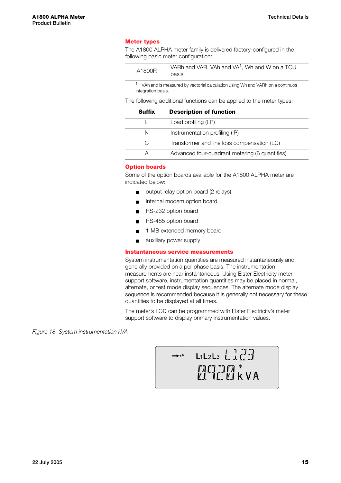#### <span id="page-18-0"></span>**Meter types**

The A1800 ALPHA meter family is delivered factory-configured in the following basic meter configuration:

| VARh and VAR, VAh and VA <sup>1</sup> , Wh and W on a TOU<br>A1800R<br>basis |  |
|------------------------------------------------------------------------------|--|
|------------------------------------------------------------------------------|--|

<sup>1</sup> VAh and is measured by vectorial calculation using Wh and VARh on a continuos integration basis.

The following additional functions can be applied to the meter types:

| Suffix | <b>Description of function</b>                 |
|--------|------------------------------------------------|
|        | Load profiling (LP)                            |
| N      | Instrumentation profiling (IP)                 |
| C,     | Transformer and line loss compensation (LC)    |
| А      | Advanced four-quadrant metering (6 quantities) |

#### <span id="page-18-1"></span>**Option boards**

Some of the option boards available for the A1800 ALPHA meter are indicated below:

- output relay option board (2 relays)
- internal modem option board
- RS-232 option board
- RS-485 option board
- 1 MB extended memory board
- auxiliary power supply

#### <span id="page-18-2"></span>**Instantaneous service measurements**

System instrumentation quantities are measured instantaneously and generally provided on a per phase basis. The instrumentation measurements are near instantaneous. Using Elster Electricity meter support software, instrumentation quantities may be placed in normal, alternate, or test mode display sequences. The alternate mode display sequence is recommended because it is generally not necessary for these quantities to be displayed at all times.

The meter's LCD can be programmed with Elster Electricity's meter support software to display primary instrumentation values.

*Figure 18. System instrumentation kVA*

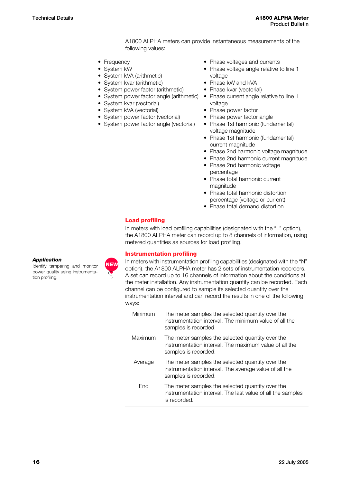A1800 ALPHA meters can provide instantaneous measurements of the following values:

- Frequency
- System kW
- System kVA (arithmetic)
- System kvar (arithmetic)
- System power factor (arithmetic)
- System power factor angle (arithmetic)
- System kvar (vectorial)
- System kVA (vectorial)
- System power factor (vectorial)
- System power factor angle (vectorial)
- Phase voltages and currents
- Phase voltage angle relative to line 1 voltage
- Phase kW and kVA
- Phase kvar (vectorial)
- Phase current angle relative to line 1 voltage
- Phase power factor
- Phase power factor angle
- Phase 1st harmonic (fundamental) voltage magnitude
- Phase 1st harmonic (fundamental) current magnitude
- Phase 2nd harmonic voltage magnitude
- Phase 2nd harmonic current magnitude
- Phase 2nd harmonic voltage percentage
- Phase total harmonic current magnitude
- Phase total harmonic distortion percentage (voltage or current)
- Phase total demand distortion

#### <span id="page-19-0"></span>**Load profiling**

In meters with load profiling capabilities (designated with the "L" option), the A1800 ALPHA meter can record up to 8 channels of information, using metered quantities as sources for load profiling.

#### <span id="page-19-1"></span>**Instrumentation profiling**

In meters with instrumentation profiling capabilities (designated with the "N" option), the A1800 ALPHA meter has 2 sets of instrumentation recorders. A set can record up to 16 channels of information about the conditions at the meter installation. Any instrumentation quantity can be recorded. Each channel can be configured to sample its selected quantity over the instrumentation interval and can record the results in one of the following ways:

| Minimum | The meter samples the selected quantity over the<br>instrumentation interval. The minimum value of all the<br>samples is recorded. |
|---------|------------------------------------------------------------------------------------------------------------------------------------|
| Maximum | The meter samples the selected quantity over the<br>instrumentation interval. The maximum value of all the<br>samples is recorded. |
| Average | The meter samples the selected quantity over the<br>instrumentation interval. The average value of all the<br>samples is recorded. |
| Fnd     | The meter samples the selected quantity over the<br>instrumentation interval. The last value of all the samples<br>is recorded.    |

#### *Application*

Identify tampering and monitor power quality using instrumentation profiling.

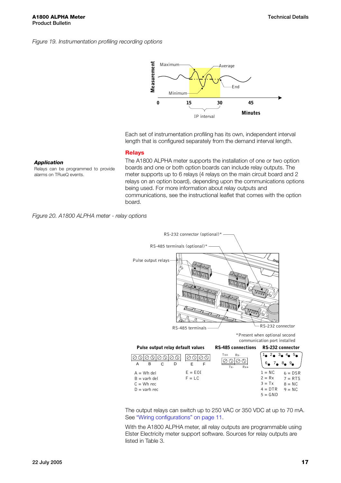#### *Figure 19. Instrumentation profiling recording options*



Each set of instrumentation profiling has its own, independent interval length that is configured separately from the demand interval length.

## *Application*

Relays can be programmed to provide alarms on TRueQ events.

The A1800 ALPHA meter supports the installation of one or two option boards and one or both option boards can include relay outputs. The meter supports up to 6 relays (4 relays on the main circuit board and 2 relays on an option board), depending upon the communications options being used. For more information about relay outputs and communications, see the instructional leaflet that comes with the option board.

*Figure 20. A1800 ALPHA meter - relay options*

<span id="page-20-0"></span>**Relays**



The output relays can switch up to 250 VAC or 350 VDC at up to 70 mA. See ["Wiring configurations" on page 11.](#page-14-4)

With the A1800 ALPHA meter, all relay outputs are programmable using Elster Electricity meter support software. Sources for relay outputs are listed in Table 3.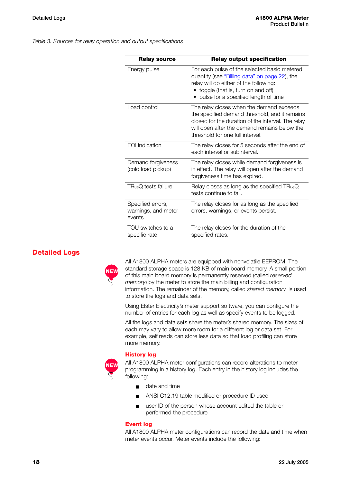*Table 3. Sources for relay operation and output specifications*

| <b>Relay source</b>                                | <b>Relay output specification</b>                                                                                                                                                                                                    |
|----------------------------------------------------|--------------------------------------------------------------------------------------------------------------------------------------------------------------------------------------------------------------------------------------|
| Energy pulse                                       | For each pulse of the selected basic metered<br>quantity (see "Billing data" on page 22), the<br>relay will do either of the following:<br>• toggle (that is, turn on and off)<br>pulse for a specified length of time               |
| Load control                                       | The relay closes when the demand exceeds<br>the specified demand threshold, and it remains<br>closed for the duration of the interval. The relay<br>will open after the demand remains below the<br>threshold for one full interval. |
| <b>EOI</b> indication                              | The relay closes for 5 seconds after the end of<br>each interval or subinterval.                                                                                                                                                     |
| Demand forgiveness<br>(cold load pickup)           | The relay closes while demand forgiveness is<br>in effect. The relay will open after the demand<br>forgiveness time has expired.                                                                                                     |
| $TRueQ$ tests failure                              | Relay closes as long as the specified TRueQ<br>tests continue to fail.                                                                                                                                                               |
| Specified errors,<br>warnings, and meter<br>events | The relay closes for as long as the specified<br>errors, warnings, or events persist.                                                                                                                                                |
| TOU switches to a<br>specific rate                 | The relay closes for the duration of the<br>specified rates.                                                                                                                                                                         |

#### <span id="page-21-0"></span>**Detailed Logs**



All A1800 ALPHA meters are equipped with nonvolatile EEPROM. The standard storage space is 128 KB of main board memory. A small portion of this main board memory is permanently reserved (called *reserved memory*) by the meter to store the main billing and configuration information. The remainder of the memory, called *shared memory*, is used to store the logs and data sets.

Using Elster Electricity's meter support software, you can configure the number of entries for each log as well as specify events to be logged.

All the logs and data sets share the meter's shared memory. The sizes of each may vary to allow more room for a different log or data set. For example, self reads can store less data so that load profiling can store more memory.

#### <span id="page-21-1"></span>**History log**



All A1800 ALPHA meter configurations can record alterations to meter programming in a history log. Each entry in the history log includes the following:

- date and time
- ANSI C12.19 table modified or procedure ID used
- user ID of the person whose account edited the table or performed the procedure

#### <span id="page-21-2"></span>**Event log**

All A1800 ALPHA meter configurations can record the date and time when meter events occur. Meter events include the following: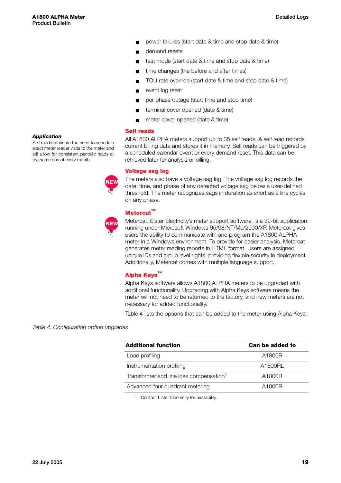- power failures (start date & time and stop date & time)
- demand resets
- test mode (start date & time and stop date & time)
- time changes (the before and after times)
- TOU rate override (start date & time and stop date & time)
- event log reset
- per phase outage (start time and stop time)
- terminal cover opened (date & time)
- meter cover opened (date & time)

#### <span id="page-22-0"></span>**Self reads**

All A1800 ALPHA meters support up to 35 self reads. A self read records current billing data and stores it in memory. Self reads can be triggered by a scheduled calendar event or every demand reset. This data can be retrieved later for analysis or billing.

#### <span id="page-22-1"></span>**Voltage sag log**

The meters also have a voltage sag log. The voltage sag log records the date, time, and phase of any detected voltage sag below a user-defined threshold. The meter recognizes sags in duration as short as 2 line cycles on any phase.

### <span id="page-22-2"></span>**Metercat™**

Metercat, Elster Electricity's meter support software, is a 32-bit application running under Microsoft Windows 95/98/NT/Me/2000/XP. Metercat gives users the ability to communicate with and program the A1800 ALPHA meter in a Windows environment. To provide for easier analysis, Metercat generates meter reading reports in HTML format. Users are assigned unique IDs and group level rights, providing flexible security in deployment. Additionally, Metercat comes with multiple language support.

#### <span id="page-22-3"></span>**Alpha Keys™**

Alpha Keys software allows A1800 ALPHA meters to be upgraded with additional functionality. Upgrading with Alpha Keys software means the meter will not need to be returned to the factory, and new meters are not necessary for added functionality.

Table 4 lists the options that can be added to the meter using Alpha Keys:

#### *Table 4. Configuration option upgrades*

| <b>Additional function</b>                          | Can be added to |  |  |
|-----------------------------------------------------|-----------------|--|--|
| Load profiling                                      | A1800R          |  |  |
| Instrumentation profiling                           | A1800RL         |  |  |
| Transformer and line loss compensation <sup>1</sup> | A1800R          |  |  |
| Advanced four quadrant metering                     | A1800R          |  |  |
|                                                     |                 |  |  |

<sup>1</sup> Contact Elster Electricity for availability.

#### *Application*

Self reads eliminate the need to schedule exact meter reader visits to the meter and still allow for consistent periodic reads at the same day of every month.



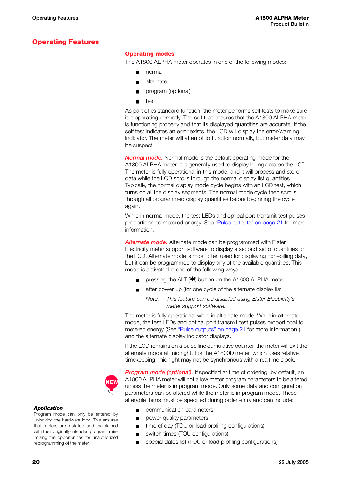### <span id="page-23-0"></span>**Operating Features**

#### <span id="page-23-1"></span>**Operating modes**

The A1800 ALPHA meter operates in one of the following modes:

- normal
- alternate
- program (optional)
- test

As part of its standard function, the meter performs self tests to make sure it is operating correctly. The self test ensures that the A1800 ALPHA meter is functioning properly and that its displayed quantities are accurate. If the self test indicates an error exists, the LCD will display the error/warning indicator. The meter will attempt to function normally, but meter data may be suspect.

<span id="page-23-2"></span>*Normal mode.* Normal mode is the default operating mode for the A1800 ALPHA meter. It is generally used to display billing data on the LCD. The meter is fully operational in this mode, and it will process and store data while the LCD scrolls through the normal display list quantities. Typically, the normal display mode cycle begins with an LCD test, which turns on all the display segments. The normal mode cycle then scrolls through all programmed display quantities before beginning the cycle again.

While in normal mode, the test LEDs and optical port transmit test pulses proportional to metered energy. See ["Pulse outputs" on page 21](#page-24-1) for more information.

<span id="page-23-3"></span>*Alternate mode.* Alternate mode can be programmed with Elster Electricity meter support software to display a second set of quantities on the LCD. Alternate mode is most often used for displaying non–billing data, but it can be programmed to display any of the available quantities. This mode is activated in one of the following ways:

- pressing the ALT  $(\star)$  button on the A1800 ALPHA meter
- after power up (for one cycle of the alternate display list

*Note: This feature can be disabled using Elster Electricity's meter support software.*

The meter is fully operational while in alternate mode. While in alternate mode, the test LEDs and optical port transmit test pulses proportional to metered energy (See ["Pulse outputs" on page 21](#page-24-1) for more information.) and the alternate display indicator displays.

If the LCD remains on a pulse line cumulative counter, the meter will exit the alternate mode at midnight. For the A1800D meter, which uses relative timekeeping, midnight may not be synchronous with a realtime clock.

<span id="page-23-4"></span>**Program mode (optional).** If specified at time of ordering, by default, an A1800 ALPHA meter will not allow meter program parameters to be altered unless the meter is in program mode. Only some data and configuration parameters can be altered while the meter is in program mode. These alterable items must be specified during order entry and can include:

- communication parameters
- power quality parameters
- time of day (TOU or load profiling configurations)
- switch times (TOU configurations)
- special dates list (TOU or load profiling configurations)

#### *Application*

Program mode can only be entered by unlocking the hardware lock. This ensures that meters are installed and maintained with their originally-intended program, minimizing the opportunities for unauthorized reprogramming of the meter.

**NEW**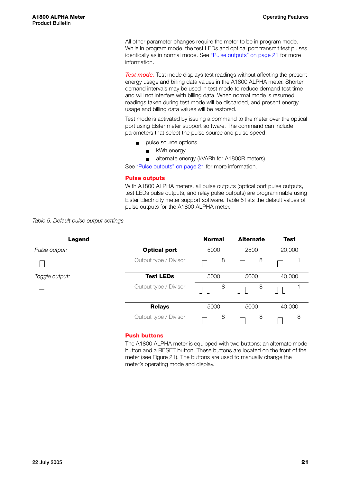All other parameter changes require the meter to be in program mode. While in program mode, the test LEDs and optical port transmit test pulses identically as in normal mode. See ["Pulse outputs" on page 21](#page-24-1) for more information.

<span id="page-24-0"></span>**Test mode.** Test mode displays test readings without affecting the present energy usage and billing data values in the A1800 ALPHA meter. Shorter demand intervals may be used in test mode to reduce demand test time and will not interfere with billing data. When normal mode is resumed, readings taken during test mode will be discarded, and present energy usage and billing data values will be restored.

Test mode is activated by issuing a command to the meter over the optical port using Elster meter support software. The command can include parameters that select the pulse source and pulse speed:

- pulse source options
	- kWh energy
	- alternate energy (kVARh for A1800R meters)

See ["Pulse outputs" on page 21](#page-24-1) for more information.

#### <span id="page-24-1"></span>**Pulse outputs**

With A1800 ALPHA meters, all pulse outputs (optical port pulse outputs, test LEDs pulse outputs, and relay pulse outputs) are programmable using Elster Electricity meter support software. Table 5 lists the default values of pulse outputs for the A1800 ALPHA meter.

#### *Table 5. Default pulse output settings*

| <b>Legend</b>  |                       | <b>Normal</b> | <b>Alternate</b> | <b>Test</b> |
|----------------|-----------------------|---------------|------------------|-------------|
| Pulse output:  | <b>Optical port</b>   | 5000          | 2500             | 20,000      |
|                | Output type / Divisor | 8             | 8                |             |
| Toggle output: | <b>Test LEDs</b>      | 5000          | 5000             | 40,000      |
|                | Output type / Divisor | 8             | 8                |             |
|                | <b>Relays</b>         | 5000          | 5000             | 40,000      |
|                | Output type / Divisor | 8             | 8                | 8           |

#### <span id="page-24-2"></span>**Push buttons**

The A1800 ALPHA meter is equipped with two buttons: an alternate mode button and a RESET button. These buttons are located on the front of the meter (see [Figure 21\)](#page-25-4). The buttons are used to manually change the meter's operating mode and display.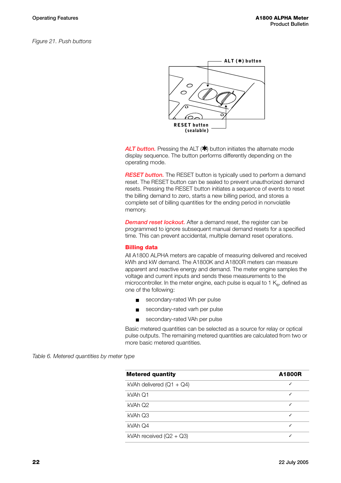<span id="page-25-4"></span>*Figure 21. Push buttons*



<span id="page-25-0"></span>ALT button. Pressing the ALT (\*) button initiates the alternate mode display sequence. The button performs differently depending on the operating mode.

<span id="page-25-1"></span>**RESET button.** The RESET button is typically used to perform a demand reset. The RESET button can be sealed to prevent unauthorized demand resets. Pressing the RESET button initiates a sequence of events to reset the billing demand to zero, starts a new billing period, and stores a complete set of billing quantities for the ending period in nonvolatile memory.

<span id="page-25-2"></span>*Demand reset lockout.* After a demand reset, the register can be programmed to ignore subsequent manual demand resets for a specified time. This can prevent accidental, multiple demand reset operations.

#### <span id="page-25-3"></span>**Billing data**

All A1800 ALPHA meters are capable of measuring delivered and received kWh and kW demand. The A1800K and A1800R meters can measure apparent and reactive energy and demand. The meter engine samples the voltage and current inputs and sends these measurements to the microcontroller. In the meter engine, each pulse is equal to 1  $K_{\text{e}}$ , defined as one of the following:

- secondary-rated Wh per pulse
- secondary-rated varh per pulse
- secondary-rated VAh per pulse

Basic metered quantities can be selected as a source for relay or optical pulse outputs. The remaining metered quantities are calculated from two or more basic metered quantities.

*Table 6. Metered quantities by meter type*

| <b>Metered quantity</b>    | A1800R |
|----------------------------|--------|
| kVAh delivered $(Q1 + Q4)$ |        |
| kVAh Q1                    |        |
| kVAh Q2                    | J      |
| kVAh Q3                    | J      |
| kVAh Q4                    |        |
| kVAh received $(Q2 + Q3)$  |        |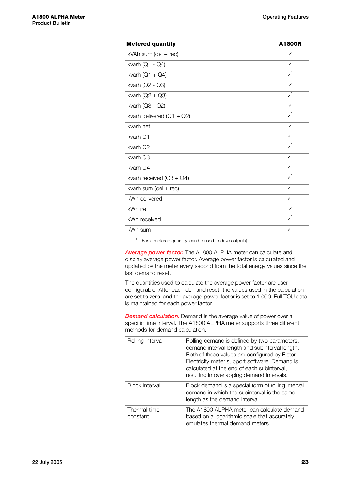| <b>Metered quantity</b>               | A1800R          |
|---------------------------------------|-----------------|
| kVAh sum (del + rec)                  | ✓               |
| kvarh ( $Q1 - Q4$ )                   | J               |
| kvarh $(Q1 + Q4)$                     | $\mathcal{L}^1$ |
| kvarh (Q2 - Q3)                       | J               |
| kvarh $(Q2 + Q3)$                     | $\mathcal{L}^1$ |
| kvarh (Q3 - Q2)                       |                 |
| kvarh delivered $(Q1 + Q2)$           | $\mathcal{L}^1$ |
| kvarh net                             | J               |
| kvarh Q1                              | $\mathcal{L}^1$ |
| kvarh Q2                              | $\mathcal{L}^1$ |
| kvarh Q3                              | $\mathcal{L}^1$ |
| kvarh Q4                              | $\mathcal{L}^1$ |
| kvarh received $(Q3 + Q4)$            | $\mathcal{L}^1$ |
| kvarh sum $(\text{del} + \text{rec})$ | $\mathcal{L}^1$ |
| kWh delivered                         | ا ر             |
| kWh net                               |                 |
| kWh received                          |                 |
| kWh sum                               |                 |

<sup>1</sup> Basic metered quantity (can be used to drive outputs)

<span id="page-26-0"></span>*Average power factor.* The A1800 ALPHA meter can calculate and display average power factor. Average power factor is calculated and updated by the meter every second from the total energy values since the last demand reset.

The quantities used to calculate the average power factor are userconfigurable. After each demand reset, the values used in the calculation are set to zero, and the average power factor is set to 1.000. Full TOU data is maintained for each power factor.

<span id="page-26-1"></span>*Demand calculation.* Demand is the average value of power over a specific time interval. The A1800 ALPHA meter supports three different methods for demand calculation.

| Rolling interval         | Rolling demand is defined by two parameters:<br>demand interval length and subinterval length.<br>Both of these values are configured by Elster<br>Electricity meter support software. Demand is<br>calculated at the end of each subinterval,<br>resulting in overlapping demand intervals. |
|--------------------------|----------------------------------------------------------------------------------------------------------------------------------------------------------------------------------------------------------------------------------------------------------------------------------------------|
| <b>Block interval</b>    | Block demand is a special form of rolling interval<br>demand in which the subinterval is the same<br>length as the demand interval.                                                                                                                                                          |
| Thermal time<br>constant | The A1800 ALPHA meter can calculate demand<br>based on a logarithmic scale that accurately<br>emulates thermal demand meters.                                                                                                                                                                |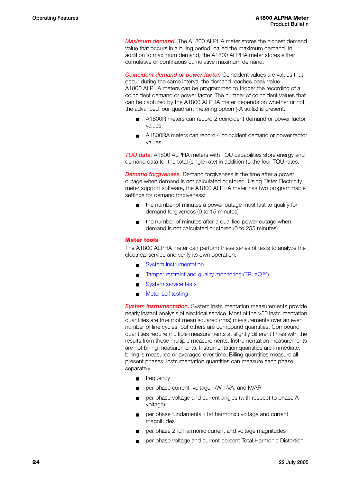<span id="page-27-0"></span>*Maximum demand.* The A1800 ALPHA meter stores the highest demand value that occurs in a billing period, called the maximum demand. In addition to maximum demand, the A1800 ALPHA meter stores either cumulative or continuous cumulative maximum demand.

<span id="page-27-1"></span>*Coincident demand or power factor.* Coincident values are values that occur during the same interval the demand reaches peak value. A1800 ALPHA meters can be programmed to trigger the recording of a coincident demand or power factor. The number of coincident values that can be captured by the A1800 ALPHA meter depends on whether or not the advanced four-quadrant metering option (-A suffix) is present.

- A1800R meters can record 2 coincident demand or power factor values.
- A1800RA meters can record 4 coincident demand or power factor values.

<span id="page-27-2"></span>**TOU data.** A1800 ALPHA meters with TOU capabilities store energy and demand data for the total (single rate) in addition to the four TOU rates.

<span id="page-27-3"></span>*Demand forgiveness.* Demand forgiveness is the time after a power outage when demand is not calculated or stored. Using Elster Electricity meter support software, the A1800 ALPHA meter has two programmable settings for demand forgiveness:

- the number of minutes a power outage must last to qualify for demand forgiveness (0 to 15 minutes)
- the number of minutes after a qualified power outage when demand is not calculated or stored (0 to 255 minutes)

#### <span id="page-27-4"></span>**Meter tools**

The A1800 ALPHA meter can perform these series of tests to analyze the electrical service and verify its own operation:

- **[System instrumentation](#page-27-5)**
- [Tamper restraint and quality monitoring \(TRueQ™\)](#page-6-1)
- [System service tests](#page-28-0)
- [Meter self testing](#page-30-0)

<span id="page-27-5"></span>**System instrumentation.** System instrumentation measurements provide nearly instant analysis of electrical service. Most of the >50 instrumentation quantities are true root mean squared (rms) measurements over an even number of line cycles, but others are compound quantities. Compound quantities require multiple measurements at slightly different times with the results from these multiple measurements. Instrumentation measurements are not billing measurements. Instrumentation quantities are immediate; billing is measured or averaged over time. Billing quantities measure all present phases; instrumentation quantities can measure each phase separately.

- frequency
- per phase current, voltage, kW, kVA, and kVAR
- per phase voltage and current angles (with respect to phase A voltage)
- per phase fundamental (1st harmonic) voltage and current magnitudes
- per phase 2nd harmonic current and voltage magnitudes
- per phase voltage and current percent Total Harmonic Distortion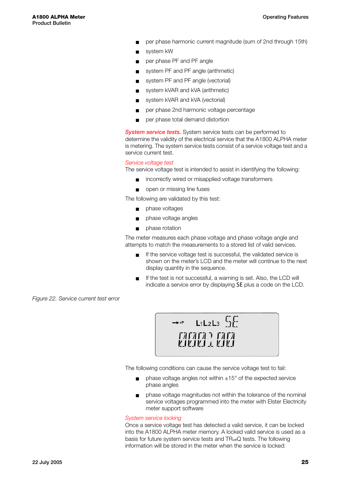- per phase harmonic current magnitude (sum of 2nd through 15th)
- system kW
- per phase PF and PF angle
- system PF and PF angle (arithmetic)
- system PF and PF angle (vectorial)
- system kVAR and kVA (arithmetic)
- system kVAR and kVA (vectorial)
- per phase 2nd harmonic voltage percentage
- per phase total demand distortion

<span id="page-28-0"></span>*System service tests.* System service tests can be performed to determine the validity of the electrical service that the A1800 ALPHA meter is metering. The system service tests consist of a service voltage test and a service current test.

#### *Service voltage test*

The service voltage test is intended to assist in identifying the following:

- incorrectly wired or misapplied voltage transformers
- open or missing line fuses

The following are validated by this test:

- phase voltages
- phase voltage angles
- phase rotation

The meter measures each phase voltage and phase voltage angle and attempts to match the measurements to a stored list of valid services.

- If the service voltage test is successful, the validated service is shown on the meter's LCD and the meter will continue to the next display quantity in the sequence.
- If the test is not successful, a warning is set. Also, the LCD will indicate a service error by displaying SE plus a code on the LCD.

*Figure 22. Service current test error*



The following conditions can cause the service voltage test to fail:

- $\Box$  phase voltage angles not within  $\pm 15^{\circ}$  of the expected service phase angles
- phase voltage magnitudes not within the tolerance of the nominal service voltages programmed into the meter with Elster Electricity meter support software

#### *System service locking*

Once a service voltage test has detected a valid service, it can be locked into the A1800 ALPHA meter memory. A locked valid service is used as a basis for future system service tests and TRueQ tests. The following information will be stored in the meter when the service is locked: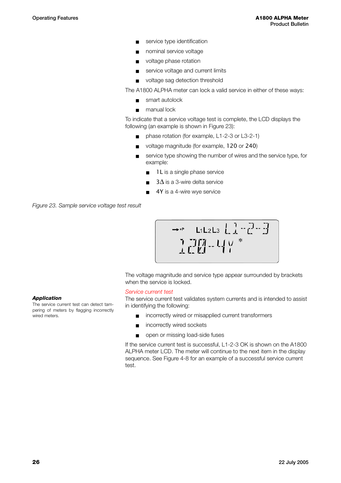- service type identification
- nominal service voltage
- voltage phase rotation
- service voltage and current limits
- voltage sag detection threshold

The A1800 ALPHA meter can lock a valid service in either of these ways:

- smart autolock
- manual lock

To indicate that a service voltage test is complete, the LCD displays the following (an example is shown in Figure 23):

- phase rotation (for example, L1-2-3 or L3-2-1)
- voltage magnitude (for example, 120 or 240)
- service type showing the number of wires and the service type, for example:
	- 1L is a single phase service
	- $3\Delta$  is a 3-wire delta service
	- 4Y is a 4-wire wye service

*Figure 23. Sample service voltage test result*

$$
\begin{array}{|c|c|c|c|c|}\n\hline\n\hline\n\uparrow & \text{L1L2L3} & \text{L1} & \text{L2} & \text{L3} \\
\hline\n\uparrow & \text{L1} & \text{L4} & \text{V} & \text{A} \\
\hline\n\downarrow & \text{L2} & \text{V} & \text{A} & \text{V} & \text{A}\n\end{array}
$$

The voltage magnitude and service type appear surrounded by brackets when the service is locked.

#### *Service current test*

The service current test validates system currents and is intended to assist in identifying the following:

- incorrectly wired or misapplied current transformers
- incorrectly wired sockets
- open or missing load-side fuses

If the service current test is successful, L1-2-3 OK is shown on the A1800 ALPHA meter LCD. The meter will continue to the next item in the display sequence. See Figure 4-8 for an example of a successful service current test.

#### *Application*

The service current test can detect tampering of meters by flagging incorrectly wired meters.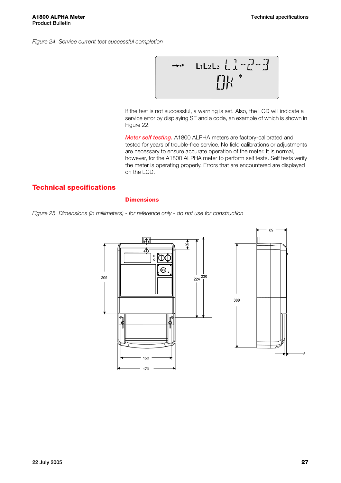*Figure 24. Service current test successful completion*



If the test is not successful, a warning is set. Also, the LCD will indicate a service error by displaying SE and a code, an example of which is shown in Figure 22.

<span id="page-30-0"></span>*Meter self testing.* A1800 ALPHA meters are factory-calibrated and tested for years of trouble-free service. No field calibrations or adjustments are necessary to ensure accurate operation of the meter. It is normal, however, for the A1800 ALPHA meter to perform self tests. Self tests verify the meter is operating properly. Errors that are encountered are displayed on the LCD.

#### <span id="page-30-1"></span>**Technical specifications**

#### <span id="page-30-2"></span>**Dimensions**



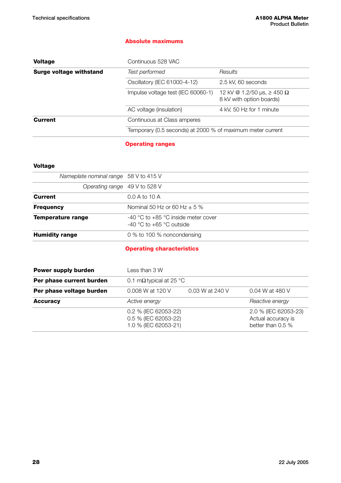#### <span id="page-31-0"></span>**Absolute maximums**

| <b>Voltage</b>          | Continuous 528 VAC                                         |                                                                    |  |
|-------------------------|------------------------------------------------------------|--------------------------------------------------------------------|--|
| Surge voltage withstand | Test performed                                             | Results                                                            |  |
|                         | Oscillatory (IEC 61000-4-12)                               | 2.5 kV, 60 seconds                                                 |  |
|                         | Impulse voltage test (IEC 60060-1)                         | 12 kV @ 1.2/50 us, $\geq$ 450 $\Omega$<br>8 kV with option boards) |  |
|                         | AC voltage (insulation)                                    | 4 kV, 50 Hz for 1 minute                                           |  |
| <b>Current</b>          | Continuous at Class amperes                                |                                                                    |  |
|                         | Temporary (0.5 seconds) at 2000 % of maximum meter current |                                                                    |  |
|                         |                                                            |                                                                    |  |

<span id="page-31-1"></span>**Operating ranges**

#### **Voltage**

| Nameplate nominal range 58 V to 415 V |                                                                         |
|---------------------------------------|-------------------------------------------------------------------------|
| Operating range 49 V to 528 V         |                                                                         |
| <b>Current</b>                        | 0.0 A to 10 A                                                           |
| <b>Frequency</b>                      | Nominal 50 Hz or 60 Hz $\pm$ 5 %                                        |
| <b>Temperature range</b>              | $-40$ °C to $+85$ °C inside meter cover<br>$-40$ °C to $+65$ °C outside |
| <b>Humidity range</b>                 | 0 % to 100 % noncondensing                                              |

#### <span id="page-31-2"></span>**Operating characteristics**

| <b>Power supply burden</b> | Less than 3 W                                                        |                 |                                                                 |
|----------------------------|----------------------------------------------------------------------|-----------------|-----------------------------------------------------------------|
| Per phase current burden   | 0.1 m $\Omega$ typical at 25 °C                                      |                 |                                                                 |
| Per phase voltage burden   | 0.008 W at 120 V                                                     | 0.03 W at 240 V | 0.04 W at 480 V                                                 |
| <b>Accuracy</b>            | Active energy                                                        |                 | Reactive energy                                                 |
|                            | 0.2 % (IEC 62053-22)<br>0.5 % (IEC 62053-22)<br>1.0 % (IEC 62053-21) |                 | 2.0 % (IEC 62053-23)<br>Actual accuracy is<br>better than 0.5 % |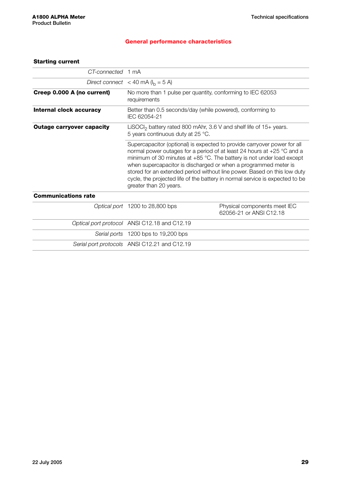#### <span id="page-32-0"></span>**General performance characteristics**

#### **Starting current**

| CT-connected 1 mA                |                                                                                                                                                                                                                                                                                                                                                                                                                                                                                                                                                                                                                 |                                                        |  |
|----------------------------------|-----------------------------------------------------------------------------------------------------------------------------------------------------------------------------------------------------------------------------------------------------------------------------------------------------------------------------------------------------------------------------------------------------------------------------------------------------------------------------------------------------------------------------------------------------------------------------------------------------------------|--------------------------------------------------------|--|
|                                  | Direct connect < 40 mA ( $I_b$ = 5 A)                                                                                                                                                                                                                                                                                                                                                                                                                                                                                                                                                                           |                                                        |  |
| Creep 0.000 A (no current)       | No more than 1 pulse per quantity, conforming to IEC 62053<br>requirements                                                                                                                                                                                                                                                                                                                                                                                                                                                                                                                                      |                                                        |  |
| Internal clock accuracy          | Better than 0.5 seconds/day (while powered), conforming to<br>IEC 62054-21                                                                                                                                                                                                                                                                                                                                                                                                                                                                                                                                      |                                                        |  |
| <b>Outage carryover capacity</b> | LiSOCI <sub>2</sub> battery rated 800 mAhr, 3.6 V and shelf life of $15+$ years.<br>5 years continuous duty at 25 °C.<br>Supercapacitor (optional) is expected to provide carryover power for all<br>normal power outages for a period of at least 24 hours at +25 °C and a<br>minimum of 30 minutes at $+85$ °C. The battery is not under load except<br>when supercapacitor is discharged or when a programmed meter is<br>stored for an extended period without line power. Based on this low duty<br>cycle, the projected life of the battery in normal service is expected to be<br>greater than 20 years. |                                                        |  |
|                                  |                                                                                                                                                                                                                                                                                                                                                                                                                                                                                                                                                                                                                 |                                                        |  |
| <b>Communications rate</b>       |                                                                                                                                                                                                                                                                                                                                                                                                                                                                                                                                                                                                                 |                                                        |  |
|                                  | Optical port 1200 to 28,800 bps                                                                                                                                                                                                                                                                                                                                                                                                                                                                                                                                                                                 | Physical components meet IEC<br>62056-21 or ANSLC12.18 |  |
|                                  | Optical port protocol ANSI C12.18 and C12.19                                                                                                                                                                                                                                                                                                                                                                                                                                                                                                                                                                    |                                                        |  |
|                                  | Serial ports 1200 bps to 19,200 bps                                                                                                                                                                                                                                                                                                                                                                                                                                                                                                                                                                             |                                                        |  |
|                                  | Serial port protocols ANSI C12.21 and C12.19                                                                                                                                                                                                                                                                                                                                                                                                                                                                                                                                                                    |                                                        |  |